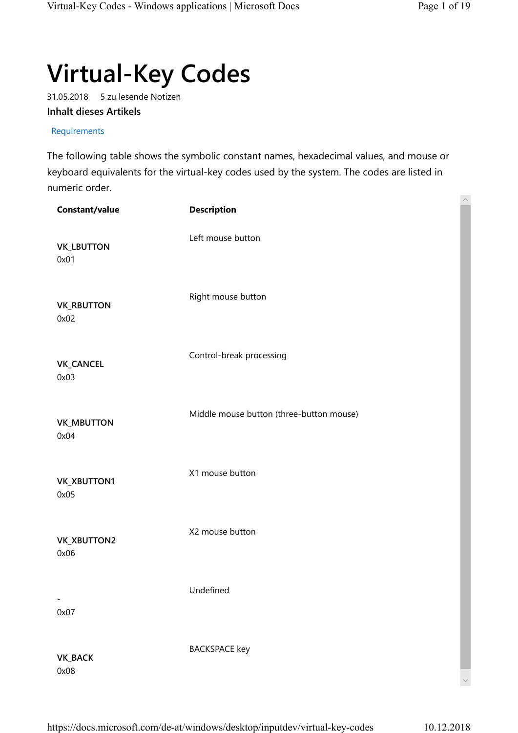## Virtual-Key Codes

31.05.2018 5 zu lesende Notizen Inhalt dieses Artikels

## Requirements

The following table shows the symbolic constant names, hexadecimal values, and mouse or keyboard equivalents for the virtual-key codes used by the system. The codes are listed in numeric order.

| Constant/value             | <b>Description</b>                       | $\widehat{\phantom{a}}$ |
|----------------------------|------------------------------------------|-------------------------|
| <b>VK_LBUTTON</b><br>0x01  | Left mouse button                        |                         |
| <b>VK_RBUTTON</b><br>0x02  | Right mouse button                       |                         |
| <b>VK_CANCEL</b><br>0x03   | Control-break processing                 |                         |
| <b>VK_MBUTTON</b><br>0x04  | Middle mouse button (three-button mouse) |                         |
| <b>VK_XBUTTON1</b><br>0x05 | X1 mouse button                          |                         |
| <b>VK_XBUTTON2</b><br>0x06 | X2 mouse button                          |                         |
| 0x07                       | Undefined                                |                         |
| <b>VK_BACK</b><br>0x08     | <b>BACKSPACE</b> key                     |                         |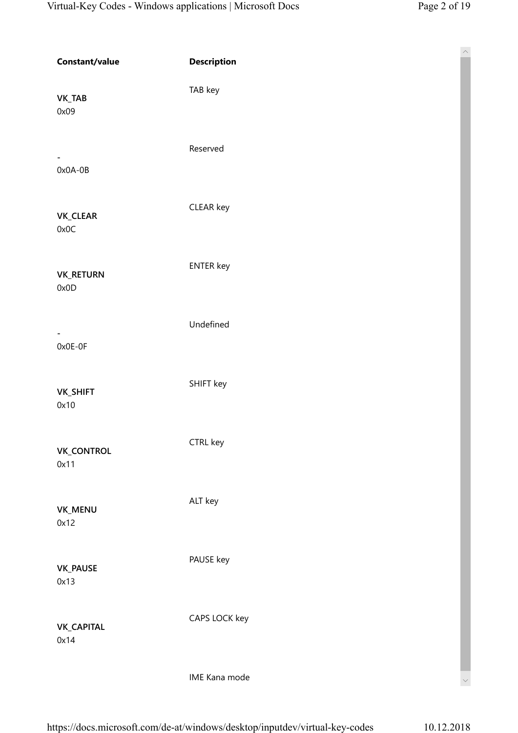| Constant/value                        | <b>Description</b> |
|---------------------------------------|--------------------|
| <b>VK_TAB</b><br>0x09                 | TAB key            |
| $\overline{\phantom{a}}$<br>$0x0A-0B$ | Reserved           |
| VK_CLEAR<br>0x0C                      | CLEAR key          |
| <b>VK_RETURN</b><br>0x0D              | <b>ENTER key</b>   |
| $\overline{\phantom{a}}$<br>$0x0E-0F$ | Undefined          |
| <b>VK_SHIFT</b><br>0x10               | SHIFT key          |
| <b>VK_CONTROL</b><br>0x11             | CTRL key           |
| VK_MENU<br>0x12                       | ALT key            |
| <b>VK_PAUSE</b><br>0x13               | PAUSE key          |
| <b>VK_CAPITAL</b><br>0x14             | CAPS LOCK key      |
|                                       | IME Kana mode      |

https://docs.microsoft.com/de-at/windows/desktop/inputdev/virtual-key-codes 10.12.2018

 $\checkmark$ 

 $\widehat{\phantom{1}}$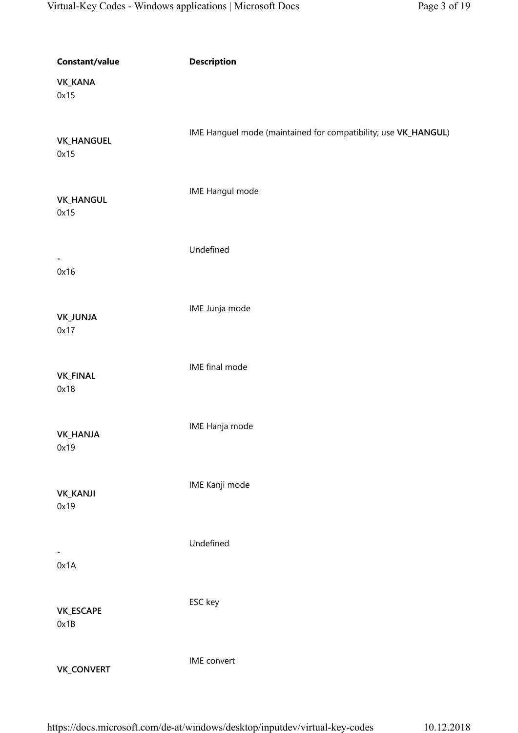| Constant/value            | <b>Description</b>                                             |
|---------------------------|----------------------------------------------------------------|
| <b>VK_KANA</b><br>0x15    |                                                                |
| <b>VK_HANGUEL</b><br>0x15 | IME Hanguel mode (maintained for compatibility; use VK_HANGUL) |
| <b>VK_HANGUL</b><br>0x15  | IME Hangul mode                                                |
| $\blacksquare$<br>0x16    | Undefined                                                      |
| VK_JUNJA<br>0x17          | IME Junja mode                                                 |
| <b>VK_FINAL</b><br>0x18   | IME final mode                                                 |
| <b>VK_HANJA</b><br>0x19   | IME Hanja mode                                                 |
| <b>VK_KANJI</b><br>0x19   | IME Kanji mode                                                 |
| 0x1A                      | Undefined                                                      |
| VK_ESCAPE<br>0x1B         | ESC key                                                        |
| <b>VK_CONVERT</b>         | IME convert                                                    |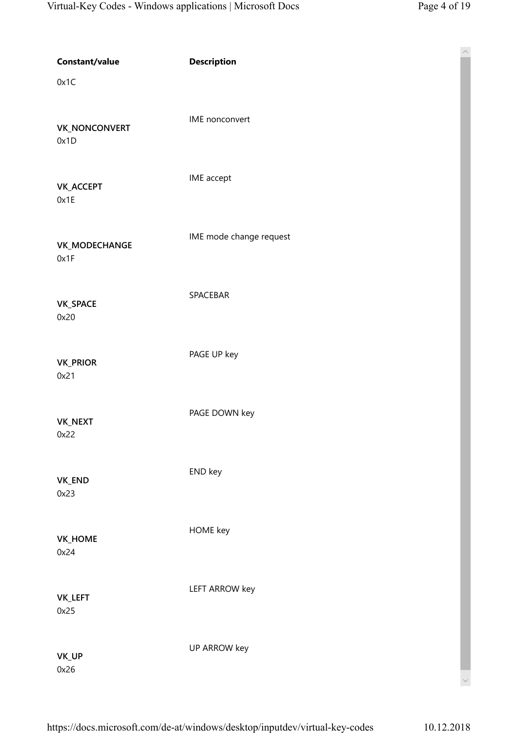| Constant/value<br>0x1C       | <b>Description</b>      | $\land$ |
|------------------------------|-------------------------|---------|
| <b>VK_NONCONVERT</b><br>0x1D | IME nonconvert          |         |
| <b>VK_ACCEPT</b><br>0x1E     | IME accept              |         |
| VK_MODECHANGE<br>0x1F        | IME mode change request |         |
| VK_SPACE<br>0x20             | SPACEBAR                |         |
| <b>VK_PRIOR</b><br>0x21      | PAGE UP key             |         |
| VK_NEXT<br>0x22              | PAGE DOWN key           |         |
| VK_END<br>0x23               | END key                 |         |
| VK_HOME<br>0x24              | HOME key                |         |
| VK_LEFT<br>0x25              | <b>LEFT ARROW key</b>   |         |
| VK_UP<br>0x26                | UP ARROW key            |         |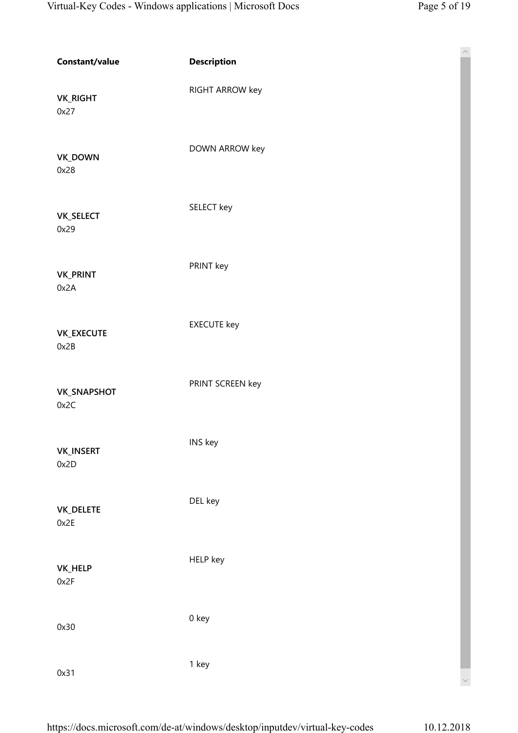$\lambda$ 

| Constant/value             | <b>Description</b> |
|----------------------------|--------------------|
| <b>VK_RIGHT</b><br>0x27    | RIGHT ARROW key    |
| VK_DOWN<br>0x28            | DOWN ARROW key     |
| <b>VK_SELECT</b><br>0x29   | SELECT key         |
| <b>VK_PRINT</b><br>0x2A    | PRINT key          |
| VK_EXECUTE<br>0x2B         | <b>EXECUTE</b> key |
| <b>VK_SNAPSHOT</b><br>0x2C | PRINT SCREEN key   |
| <b>VK_INSERT</b><br>0x2D   | INS key            |
| <b>VK_DELETE</b><br>0x2E   | DEL key            |
| VK_HELP<br>0x2F            | HELP key           |
| 0x30                       | 0 key              |
| 0x31                       | 1 key              |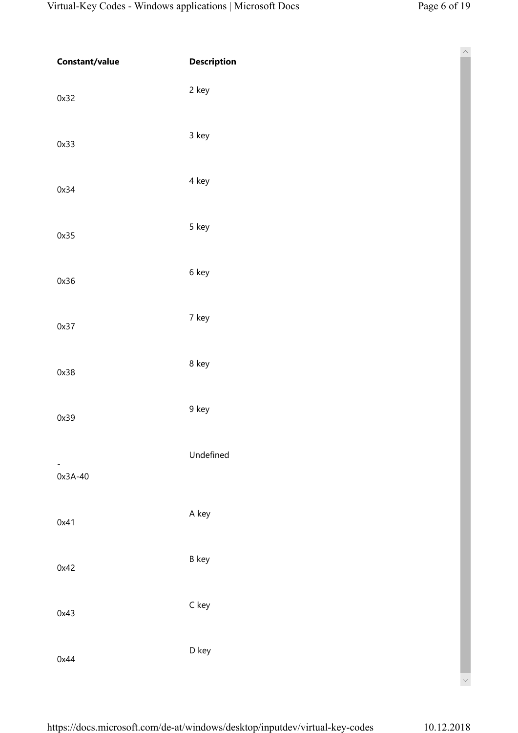| Constant/value            | <b>Description</b> | $\overline{\phantom{a}}$ |
|---------------------------|--------------------|--------------------------|
| 0x32                      | 2 key              |                          |
| 0x33                      | 3 key              |                          |
| 0x34                      | 4 key              |                          |
| 0x35                      | 5 key              |                          |
| 0x36                      | 6 key              |                          |
| 0x37                      | 7 key              |                          |
| 0x38                      | 8 key              |                          |
| 0x39                      | 9 key              |                          |
| $\blacksquare$<br>0x3A-40 | Undefined          |                          |
| 0x41                      | A key              |                          |
| 0x42                      | <b>B</b> key       |                          |
| 0x43                      | $C$ key            |                          |
| 0x44                      | D key              |                          |
|                           |                    | $\smallsetminus$         |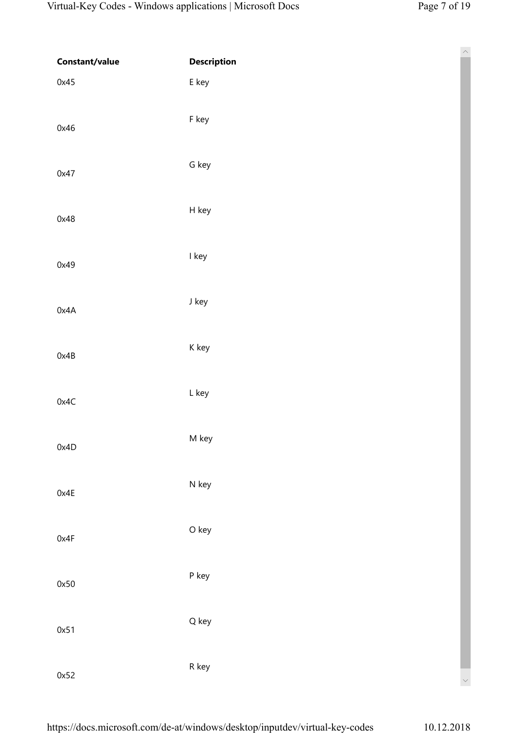$\wedge$ 

| Constant/value | <b>Description</b> |
|----------------|--------------------|
| 0x45           | E key              |
| 0x46           | F key              |
| 0x47           | G key              |
| 0x48           | H key              |
| 0x49           | I key              |
| 0x4A           | J key              |
| 0x4B           | K key              |
| 0x4C           | L key              |
| 0x4D           | M key              |
| 0x4E           | N key              |
| 0x4F           | O key              |
| 0x50           | P key              |
| 0x51           | Q key              |
| 0x52           | R key              |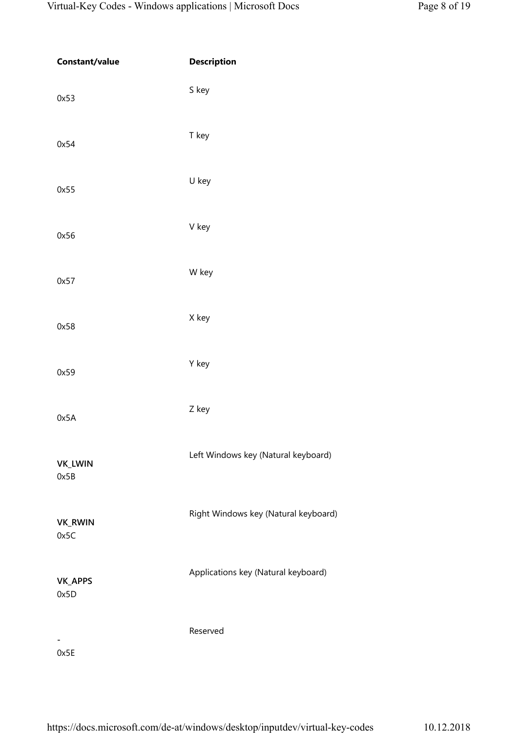| Constant/value         | <b>Description</b>                   |
|------------------------|--------------------------------------|
| 0x53                   | S key                                |
| 0x54                   | T key                                |
| 0x55                   | U key                                |
| 0x56                   | V key                                |
| 0x57                   | W key                                |
| 0x58                   | X key                                |
| 0x59                   | Y key                                |
| 0x5A                   | Z key                                |
| VK_LWIN<br>0x5B        | Left Windows key (Natural keyboard)  |
| <b>VK_RWIN</b><br>0x5C | Right Windows key (Natural keyboard) |
| VK_APPS<br>0x5D        | Applications key (Natural keyboard)  |
| 0x5E                   | Reserved                             |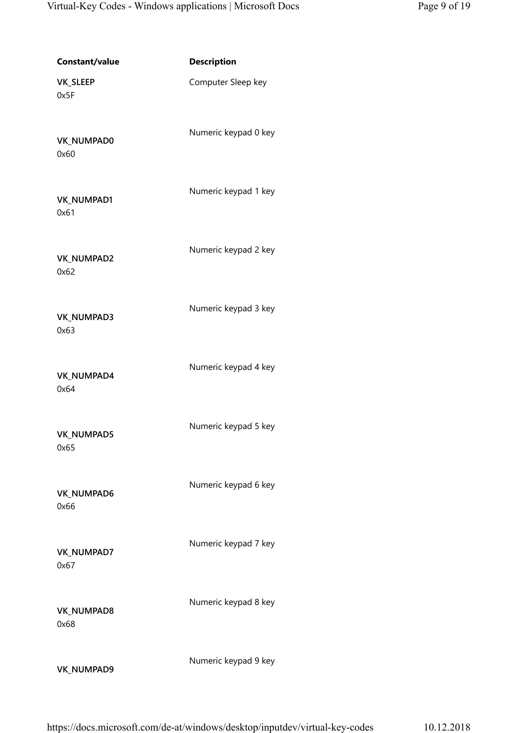| Constant/value     | <b>Description</b>   |
|--------------------|----------------------|
| VK_SLEEP<br>0x5F   | Computer Sleep key   |
| VK_NUMPAD0<br>0x60 | Numeric keypad 0 key |
| VK_NUMPAD1<br>0x61 | Numeric keypad 1 key |
| VK_NUMPAD2<br>0x62 | Numeric keypad 2 key |
| VK_NUMPAD3<br>0x63 | Numeric keypad 3 key |
| VK_NUMPAD4<br>0x64 | Numeric keypad 4 key |
| VK_NUMPAD5<br>0x65 | Numeric keypad 5 key |
| VK_NUMPAD6<br>0x66 | Numeric keypad 6 key |
| VK_NUMPAD7<br>0x67 | Numeric keypad 7 key |
| VK_NUMPAD8<br>0x68 | Numeric keypad 8 key |
| VK_NUMPAD9         | Numeric keypad 9 key |

https://docs.microsoft.com/de-at/windows/desktop/inputdev/virtual-key-codes 10.12.2018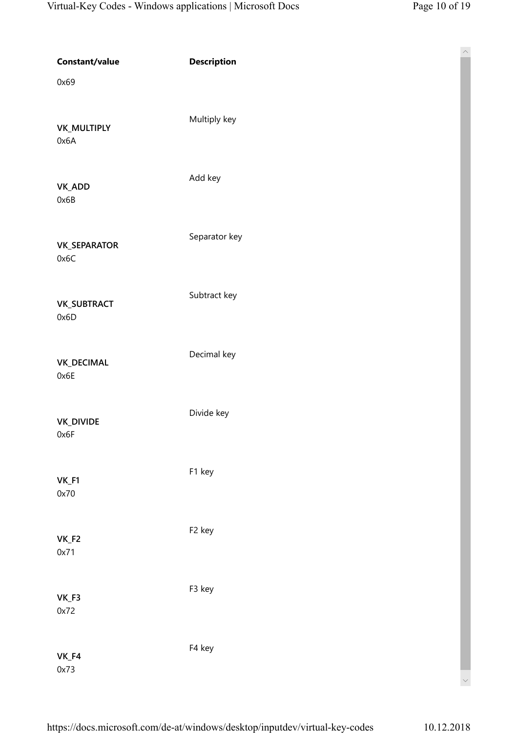$\wedge$ 

| Constant/value              | <b>Description</b> |
|-----------------------------|--------------------|
| 0x69                        |                    |
| <b>VK_MULTIPLY</b><br>0x6A  | Multiply key       |
| VK_ADD<br>0x6B              | Add key            |
| <b>VK_SEPARATOR</b><br>0x6C | Separator key      |
| <b>VK_SUBTRACT</b><br>0x6D  | Subtract key       |
| <b>VK_DECIMAL</b><br>0x6E   | Decimal key        |
| <b>VK_DIVIDE</b><br>0x6F    | Divide key         |
| $VK_F1$<br>0x70             | F1 key             |
| $VK_F2$<br>0x71             | F <sub>2</sub> key |
| $VK_F3$<br>0x72             | F3 key             |
| $VK_F4$<br>0x73             | F4 key             |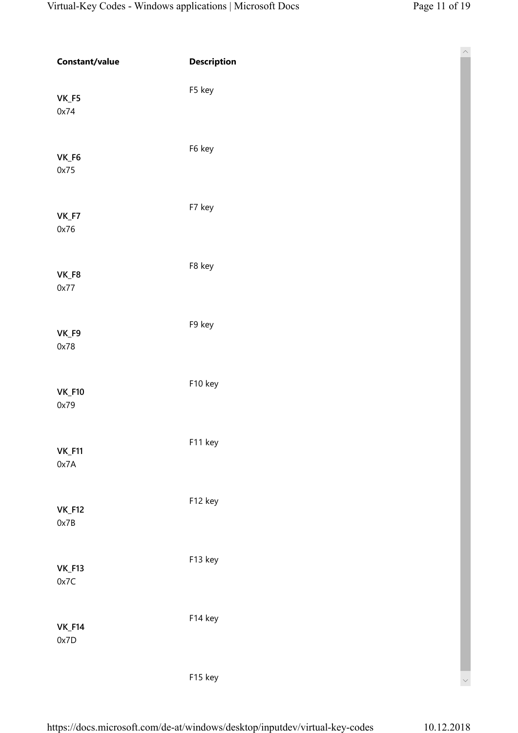$\lambda$ 

| Constant/value        | <b>Description</b> |
|-----------------------|--------------------|
| VK_F5<br>0x74         | F5 key             |
| $VK_F6$<br>0x75       | F6 key             |
| VK_F7<br>0x76         | F7 key             |
| $VK_F8$<br>0x77       | F8 key             |
| VK_F9<br>0x78         | F9 key             |
| $VK_F10$<br>0x79      | F10 key            |
| $VK_F11$<br>0x7A      | F11 key            |
| <b>VK_F12</b><br>0x7B | F12 key            |
| $VK_F13$<br>0x7C      | F13 key            |
| <b>VK_F14</b><br>0x7D | F14 key            |
|                       | F15 key            |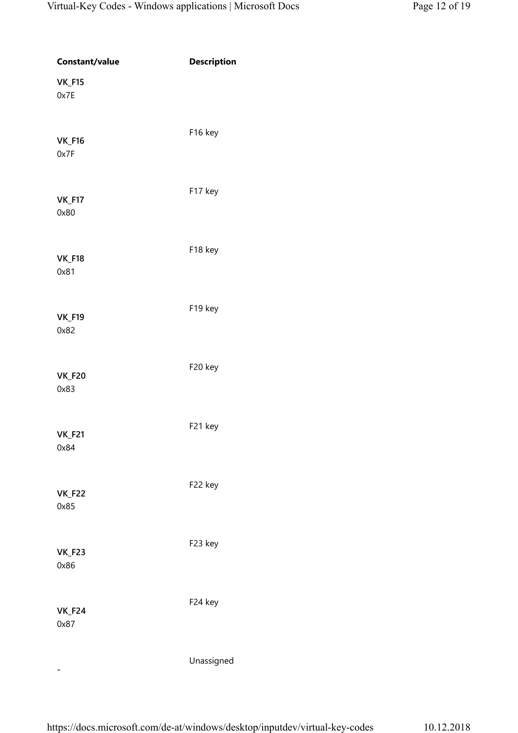| Constant/value        | <b>Description</b> |
|-----------------------|--------------------|
| <b>VK_F15</b><br>0x7E |                    |
| <b>VK_F16</b><br>0x7F | F16 key            |
| <b>VK_F17</b><br>0x80 | F17 key            |
| <b>VK_F18</b><br>0x81 | F18 key            |
| <b>VK_F19</b><br>0x82 | F19 key            |
| <b>VK_F20</b><br>0x83 | F20 key            |
| <b>VK_F21</b><br>0x84 | F21 key            |
| <b>VK_F22</b><br>0x85 | F22 key            |
| <b>VK_F23</b><br>0x86 | F23 key            |
| <b>VK_F24</b><br>0x87 | F24 key            |
|                       | Unassigned         |

-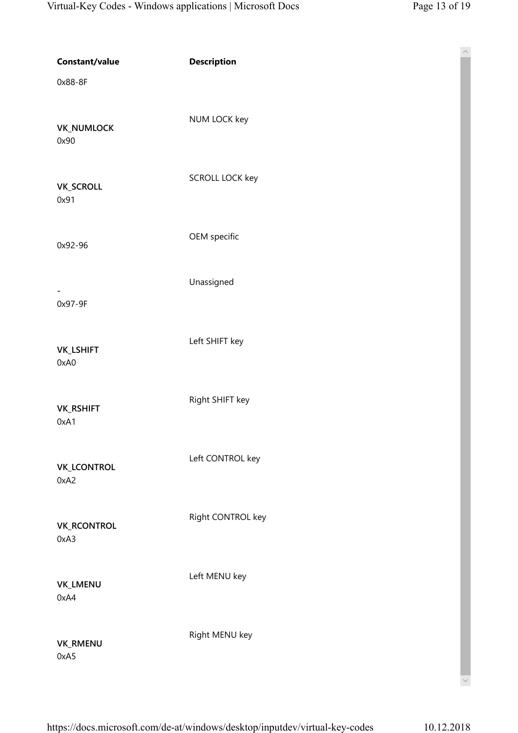| Constant/value<br>0x88-8F  | <b>Description</b>     | $\widehat{\phantom{a}}$ |
|----------------------------|------------------------|-------------------------|
| <b>VK_NUMLOCK</b><br>0x90  | NUM LOCK key           |                         |
| <b>VK_SCROLL</b><br>0x91   | <b>SCROLL LOCK key</b> |                         |
| 0x92-96                    | OEM specific           |                         |
| 0x97-9F                    | Unassigned             |                         |
| <b>VK_LSHIFT</b><br>0xA0   | Left SHIFT key         |                         |
| <b>VK_RSHIFT</b><br>0xA1   | Right SHIFT key        |                         |
| <b>VK_LCONTROL</b><br>0xA2 | Left CONTROL key       |                         |
| <b>VK_RCONTROL</b><br>0xA3 | Right CONTROL key      |                         |
| VK_LMENU<br>0xA4           | Left MENU key          |                         |
| <b>VK_RMENU</b><br>0xA5    | Right MENU key         | $\checkmark$            |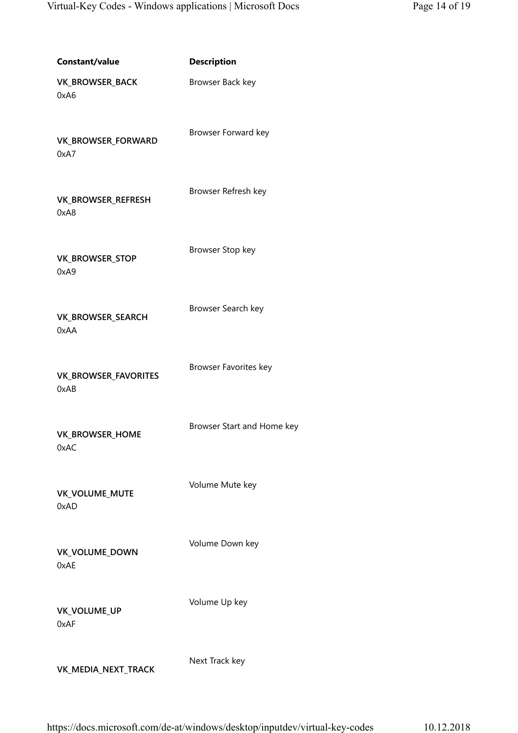| Constant/value                      | <b>Description</b>         |  |
|-------------------------------------|----------------------------|--|
| VK_BROWSER_BACK<br>0xA6             | Browser Back key           |  |
| VK_BROWSER_FORWARD<br>0xA7          | Browser Forward key        |  |
| VK_BROWSER_REFRESH<br>0xA8          | Browser Refresh key        |  |
| VK_BROWSER_STOP<br>0xA9             | Browser Stop key           |  |
| VK_BROWSER_SEARCH<br>0xAA           | Browser Search key         |  |
| <b>VK_BROWSER_FAVORITES</b><br>0xAB | Browser Favorites key      |  |
| VK_BROWSER_HOME<br>0xAC             | Browser Start and Home key |  |
| VK_VOLUME_MUTE<br>0xAD              | Volume Mute key            |  |
| VK_VOLUME_DOWN<br>0xAE              | Volume Down key            |  |
| VK_VOLUME_UP<br>0xAF                | Volume Up key              |  |
| VK_MEDIA_NEXT_TRACK                 | Next Track key             |  |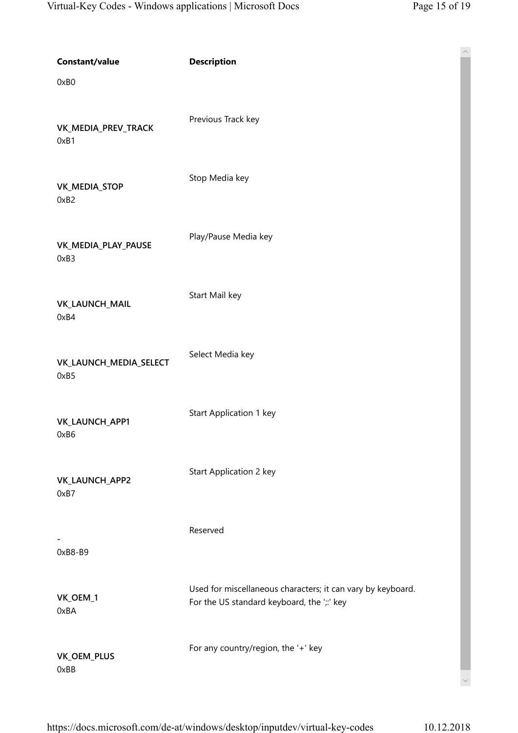$\wedge$ 

| Constant/value                 | <b>Description</b>                                                                                        |
|--------------------------------|-----------------------------------------------------------------------------------------------------------|
| 0xB0                           |                                                                                                           |
| VK_MEDIA_PREV_TRACK<br>0xB1    | Previous Track key                                                                                        |
| VK_MEDIA_STOP<br>0xB2          | Stop Media key                                                                                            |
| VK_MEDIA_PLAY_PAUSE<br>0xB3    | Play/Pause Media key                                                                                      |
| VK_LAUNCH_MAIL<br>0xB4         | Start Mail key                                                                                            |
| VK_LAUNCH_MEDIA_SELECT<br>0xB5 | Select Media key                                                                                          |
| VK_LAUNCH_APP1<br>0xB6         | Start Application 1 key                                                                                   |
| VK_LAUNCH_APP2<br>0xB7         | Start Application 2 key                                                                                   |
| $0xB8-B9$                      | Reserved                                                                                                  |
| VK_OEM_1<br>0xBA               | Used for miscellaneous characters; it can vary by keyboard.<br>For the US standard keyboard, the ';:' key |
| VK_OEM_PLUS<br>0xBB            | For any country/region, the '+' key                                                                       |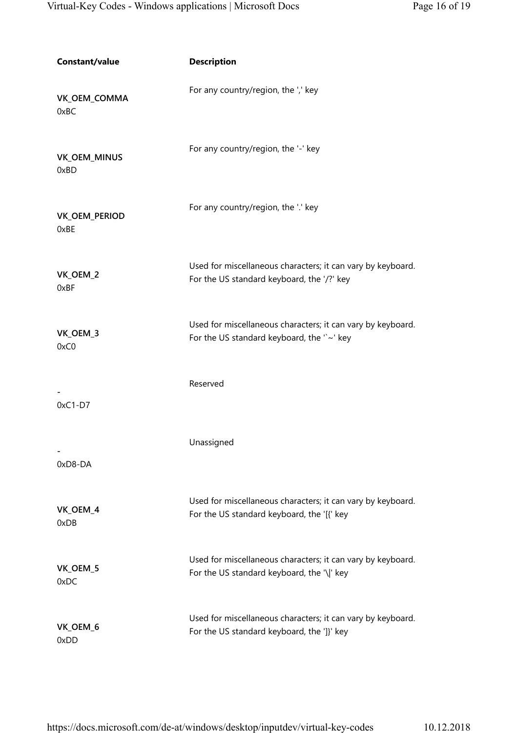| Constant/value        | <b>Description</b>                                                                                        |  |
|-----------------------|-----------------------------------------------------------------------------------------------------------|--|
| VK_OEM_COMMA<br>0xBC  | For any country/region, the ',' key                                                                       |  |
| VK_OEM_MINUS<br>0xBD  | For any country/region, the '-' key                                                                       |  |
| VK_OEM_PERIOD<br>0xBE | For any country/region, the '.' key                                                                       |  |
| VK_OEM_2<br>0xBF      | Used for miscellaneous characters; it can vary by keyboard.<br>For the US standard keyboard, the '/?' key |  |
| VK_OEM_3<br>0xC0      | Used for miscellaneous characters; it can vary by keyboard.<br>For the US standard keyboard, the "~' key  |  |
| $0xC1-D7$             | Reserved                                                                                                  |  |
| 0xD8-DA               | Unassigned                                                                                                |  |
| VK_OEM_4<br>0xDB      | Used for miscellaneous characters; it can vary by keyboard.<br>For the US standard keyboard, the '[{' key |  |
| VK_OEM_5<br>0xDC      | Used for miscellaneous characters; it can vary by keyboard.<br>For the US standard keyboard, the '\ ' key |  |
| VK_OEM_6<br>0xDD      | Used for miscellaneous characters; it can vary by keyboard.<br>For the US standard keyboard, the ']}' key |  |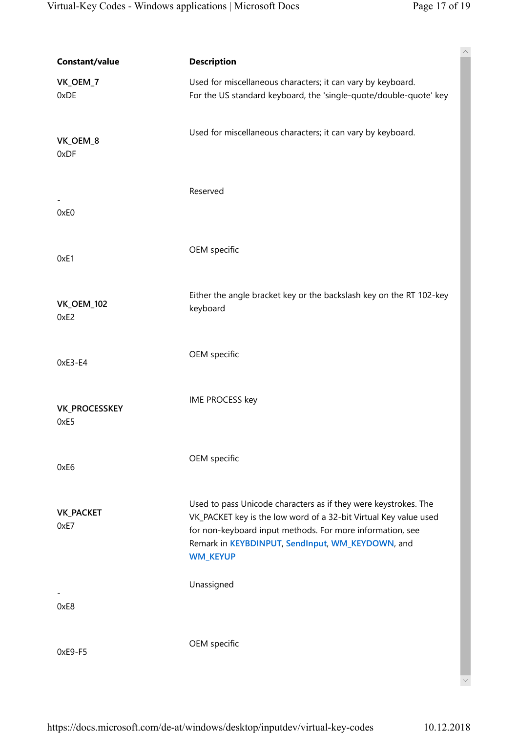| Constant/value               | $\curvearrowright$<br><b>Description</b>                                                                                                                                                                                                                                |
|------------------------------|-------------------------------------------------------------------------------------------------------------------------------------------------------------------------------------------------------------------------------------------------------------------------|
| VK_OEM_7<br>0xDE             | Used for miscellaneous characters; it can vary by keyboard.<br>For the US standard keyboard, the 'single-quote/double-quote' key                                                                                                                                        |
| VK_OEM_8<br>0xDF             | Used for miscellaneous characters; it can vary by keyboard.                                                                                                                                                                                                             |
| 0xE0                         | Reserved                                                                                                                                                                                                                                                                |
| 0xE1                         | OEM specific                                                                                                                                                                                                                                                            |
| <b>VK_OEM_102</b><br>0xE2    | Either the angle bracket key or the backslash key on the RT 102-key<br>keyboard                                                                                                                                                                                         |
| 0xE3-E4                      | OEM specific                                                                                                                                                                                                                                                            |
| <b>VK_PROCESSKEY</b><br>0xE5 | IME PROCESS key                                                                                                                                                                                                                                                         |
| 0xE6                         | OEM specific                                                                                                                                                                                                                                                            |
| <b>VK_PACKET</b><br>0xE7     | Used to pass Unicode characters as if they were keystrokes. The<br>VK_PACKET key is the low word of a 32-bit Virtual Key value used<br>for non-keyboard input methods. For more information, see<br>Remark in KEYBDINPUT, SendInput, WM_KEYDOWN, and<br><b>WM_KEYUP</b> |
| 0xE8                         | Unassigned                                                                                                                                                                                                                                                              |
| 0xE9-F5                      | OEM specific                                                                                                                                                                                                                                                            |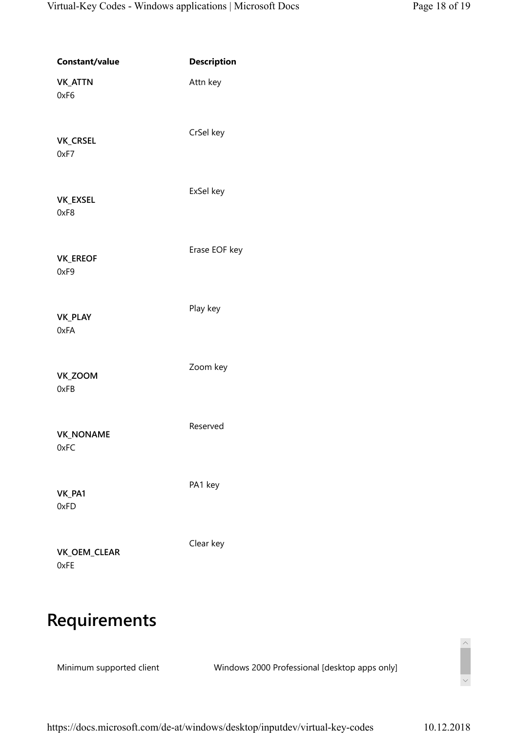| Constant/value           | <b>Description</b> |
|--------------------------|--------------------|
| <b>VK_ATTN</b><br>0xF6   | Attn key           |
| <b>VK_CRSEL</b><br>0xF7  | CrSel key          |
| VK_EXSEL<br>0xF8         | ExSel key          |
| <b>VK_EREOF</b><br>0xF9  | Erase EOF key      |
| <b>VK_PLAY</b><br>0xFA   | Play key           |
| VK_ZOOM<br>0xFB          | Zoom key           |
| <b>VK_NONAME</b><br>0xFC | Reserved           |
| VK_PA1<br>0xFD           | PA1 key            |
| VK_OEM_CLEAR<br>0xFE     | Clear key          |

## Requirements

Minimum supported client Windows 2000 Professional [desktop apps only]

 $\begin{array}{c} \begin{array}{c} \diagup \\ \diagdown \end{array} \end{array}$